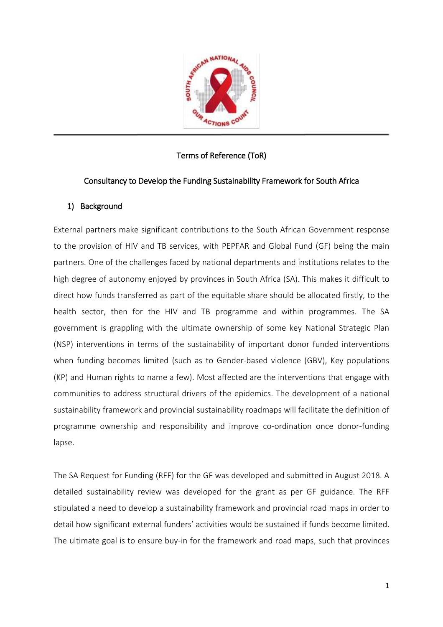

# Terms of Reference (ToR)

# Consultancy to Develop the Funding Sustainability Framework for South Africa

### 1) Background

External partners make significant contributions to the South African Government response to the provision of HIV and TB services, with PEPFAR and Global Fund (GF) being the main partners. One of the challenges faced by national departments and institutions relates to the high degree of autonomy enjoyed by provinces in South Africa (SA). This makes it difficult to direct how funds transferred as part of the equitable share should be allocated firstly, to the health sector, then for the HIV and TB programme and within programmes. The SA government is grappling with the ultimate ownership of some key National Strategic Plan (NSP) interventions in terms of the sustainability of important donor funded interventions when funding becomes limited (such as to Gender-based violence (GBV), Key populations (KP) and Human rights to name a few). Most affected are the interventions that engage with communities to address structural drivers of the epidemics. The development of a national sustainability framework and provincial sustainability roadmaps will facilitate the definition of programme ownership and responsibility and improve co-ordination once donor-funding lapse.

The SA Request for Funding (RFF) for the GF was developed and submitted in August 2018. A detailed sustainability review was developed for the grant as per GF guidance. The RFF stipulated a need to develop a sustainability framework and provincial road maps in order to detail how significant external funders' activities would be sustained if funds become limited. The ultimate goal is to ensure buy-in for the framework and road maps, such that provinces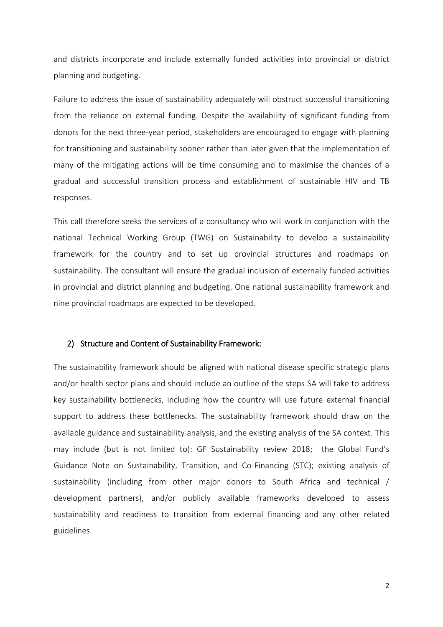and districts incorporate and include externally funded activities into provincial or district planning and budgeting.

Failure to address the issue of sustainability adequately will obstruct successful transitioning from the reliance on external funding. Despite the availability of significant funding from donors for the next three-year period, stakeholders are encouraged to engage with planning for transitioning and sustainability sooner rather than later given that the implementation of many of the mitigating actions will be time consuming and to maximise the chances of a gradual and successful transition process and establishment of sustainable HIV and TB responses.

This call therefore seeks the services of a consultancy who will work in conjunction with the national Technical Working Group (TWG) on Sustainability to develop a sustainability framework for the country and to set up provincial structures and roadmaps on sustainability. The consultant will ensure the gradual inclusion of externally funded activities in provincial and district planning and budgeting. One national sustainability framework and nine provincial roadmaps are expected to be developed.

#### 2) Structure and Content of Sustainability Framework:

The sustainability framework should be aligned with national disease specific strategic plans and/or health sector plans and should include an outline of the steps SA will take to address key sustainability bottlenecks, including how the country will use future external financial support to address these bottlenecks. The sustainability framework should draw on the available guidance and sustainability analysis, and the existing analysis of the SA context. This may include (but is not limited to): GF Sustainability review 2018; the Global Fund's Guidance Note on Sustainability, Transition, and Co-Financing (STC); existing analysis of sustainability (including from other major donors to South Africa and technical / development partners), and/or publicly available frameworks developed to assess sustainability and readiness to transition from external financing and any other related guidelines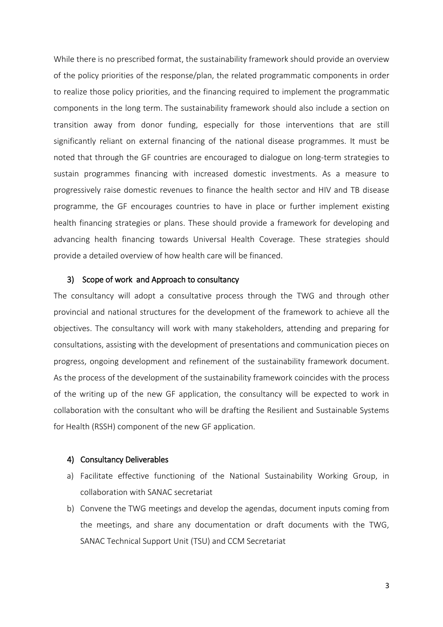While there is no prescribed format, the sustainability framework should provide an overview of the policy priorities of the response/plan, the related programmatic components in order to realize those policy priorities, and the financing required to implement the programmatic components in the long term. The sustainability framework should also include a section on transition away from donor funding, especially for those interventions that are still significantly reliant on external financing of the national disease programmes. It must be noted that through the GF countries are encouraged to dialogue on long-term strategies to sustain programmes financing with increased domestic investments. As a measure to progressively raise domestic revenues to finance the health sector and HIV and TB disease programme, the GF encourages countries to have in place or further implement existing health financing strategies or plans. These should provide a framework for developing and advancing health financing towards Universal Health Coverage. These strategies should provide a detailed overview of how health care will be financed.

#### 3) Scope of work and Approach to consultancy

The consultancy will adopt a consultative process through the TWG and through other provincial and national structures for the development of the framework to achieve all the objectives. The consultancy will work with many stakeholders, attending and preparing for consultations, assisting with the development of presentations and communication pieces on progress, ongoing development and refinement of the sustainability framework document. As the process of the development of the sustainability framework coincides with the process of the writing up of the new GF application, the consultancy will be expected to work in collaboration with the consultant who will be drafting the Resilient and Sustainable Systems for Health (RSSH) component of the new GF application.

#### 4) Consultancy Deliverables

- a) Facilitate effective functioning of the National Sustainability Working Group, in collaboration with SANAC secretariat
- b) Convene the TWG meetings and develop the agendas, document inputs coming from the meetings, and share any documentation or draft documents with the TWG, SANAC Technical Support Unit (TSU) and CCM Secretariat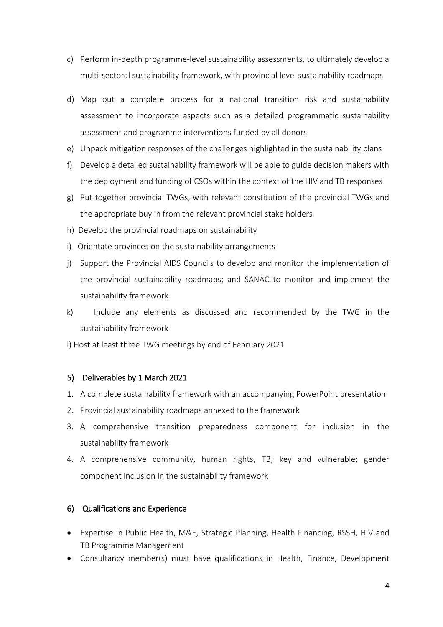- c) Perform in-depth programme-level sustainability assessments, to ultimately develop a multi-sectoral sustainability framework, with provincial level sustainability roadmaps
- d) Map out a complete process for a national transition risk and sustainability assessment to incorporate aspects such as a detailed programmatic sustainability assessment and programme interventions funded by all donors
- e) Unpack mitigation responses of the challenges highlighted in the sustainability plans
- f) Develop a detailed sustainability framework will be able to guide decision makers with the deployment and funding of CSOs within the context of the HIV and TB responses
- g) Put together provincial TWGs, with relevant constitution of the provincial TWGs and the appropriate buy in from the relevant provincial stake holders
- h) Develop the provincial roadmaps on sustainability
- i) Orientate provinces on the sustainability arrangements
- j) Support the Provincial AIDS Councils to develop and monitor the implementation of the provincial sustainability roadmaps; and SANAC to monitor and implement the sustainability framework
- k) Include any elements as discussed and recommended by the TWG in the sustainability framework
- l) Host at least three TWG meetings by end of February 2021

### 5) Deliverables by 1 March 2021

- 1. A complete sustainability framework with an accompanying PowerPoint presentation
- 2. Provincial sustainability roadmaps annexed to the framework
- 3. A comprehensive transition preparedness component for inclusion in the sustainability framework
- 4. A comprehensive community, human rights, TB; key and vulnerable; gender component inclusion in the sustainability framework

### 6) Qualifications and Experience

- Expertise in Public Health, M&E, Strategic Planning, Health Financing, RSSH, HIV and TB Programme Management
- Consultancy member(s) must have qualifications in Health, Finance, Development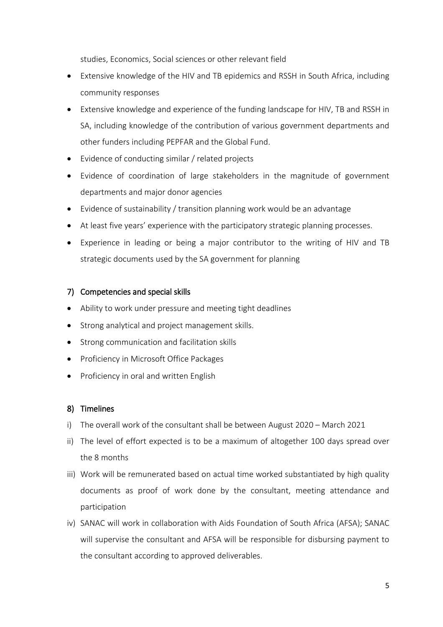studies, Economics, Social sciences or other relevant field

- Extensive knowledge of the HIV and TB epidemics and RSSH in South Africa, including community responses
- Extensive knowledge and experience of the funding landscape for HIV, TB and RSSH in SA, including knowledge of the contribution of various government departments and other funders including PEPFAR and the Global Fund.
- Evidence of conducting similar / related projects
- Evidence of coordination of large stakeholders in the magnitude of government departments and major donor agencies
- Evidence of sustainability / transition planning work would be an advantage
- At least five years' experience with the participatory strategic planning processes.
- Experience in leading or being a major contributor to the writing of HIV and TB strategic documents used by the SA government for planning

# 7) Competencies and special skills

- Ability to work under pressure and meeting tight deadlines
- Strong analytical and project management skills.
- Strong communication and facilitation skills
- Proficiency in Microsoft Office Packages
- Proficiency in oral and written English

### 8) Timelines

- i) The overall work of the consultant shall be between August 2020 March 2021
- ii) The level of effort expected is to be a maximum of altogether 100 days spread over the 8 months
- iii) Work will be remunerated based on actual time worked substantiated by high quality documents as proof of work done by the consultant, meeting attendance and participation
- iv) SANAC will work in collaboration with Aids Foundation of South Africa (AFSA); SANAC will supervise the consultant and AFSA will be responsible for disbursing payment to the consultant according to approved deliverables.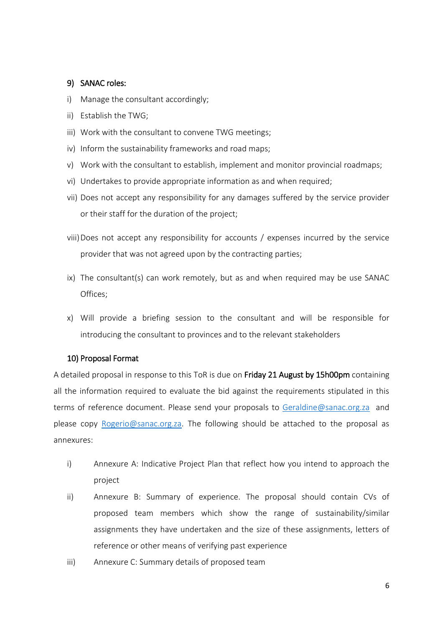#### 9) SANAC roles:

- i) Manage the consultant accordingly;
- ii) Establish the TWG;
- iii) Work with the consultant to convene TWG meetings;
- iv) Inform the sustainability frameworks and road maps;
- v) Work with the consultant to establish, implement and monitor provincial roadmaps;
- vi) Undertakes to provide appropriate information as and when required;
- vii) Does not accept any responsibility for any damages suffered by the service provider or their staff for the duration of the project;
- viii)Does not accept any responsibility for accounts / expenses incurred by the service provider that was not agreed upon by the contracting parties;
- ix) The consultant(s) can work remotely, but as and when required may be use SANAC Offices;
- x) Will provide a briefing session to the consultant and will be responsible for introducing the consultant to provinces and to the relevant stakeholders

### 10) Proposal Format

A detailed proposal in response to this ToR is due on Friday 21 August by 15h00pm containing all the information required to evaluate the bid against the requirements stipulated in this terms of reference document. Please send your proposals to [Geraldine@sanac.org.za](mailto:Geraldine@sanac.org.za) and please copy [Rogerio@sanac.org.za.](mailto:Rogerio@sanac.org.za) The following should be attached to the proposal as annexures:

- i) Annexure A: Indicative Project Plan that reflect how you intend to approach the project
- ii) Annexure B: Summary of experience. The proposal should contain CVs of proposed team members which show the range of sustainability/similar assignments they have undertaken and the size of these assignments, letters of reference or other means of verifying past experience
- iii) Annexure C: Summary details of proposed team